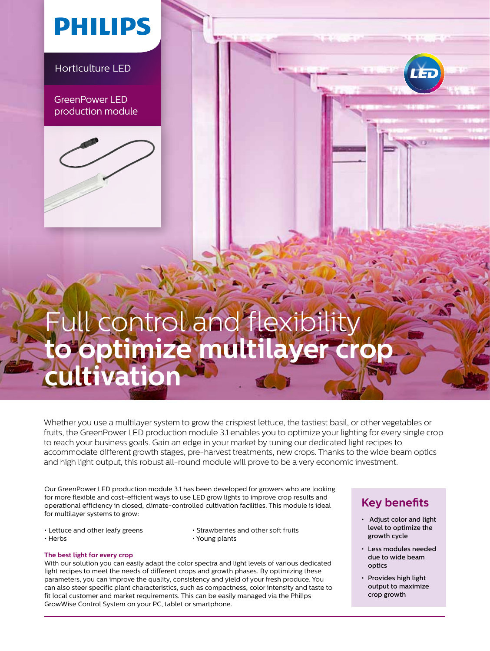## **PHILIPS**

Horticulture LED

GreenPower LED production module



## Full control and flexibility **to optimize multilayer crop cultivation**

Whether you use a multilayer system to grow the crispiest lettuce, the tastiest basil, or other vegetables or fruits, the GreenPower LED production module 3.1 enables you to optimize your lighting for every single crop to reach your business goals. Gain an edge in your market by tuning our dedicated light recipes to accommodate different growth stages, pre-harvest treatments, new crops. Thanks to the wide beam optics and high light output, this robust all-round module will prove to be a very economic investment.

Our GreenPower LED production module 3.1 has been developed for growers who are looking for more flexible and cost-efficient ways to use LED grow lights to improve crop results and operational efficiency in closed, climate-controlled cultivation facilities. This module is ideal for multilayer systems to grow:

- 
- Lettuce and other leafy greens Strawberries and other soft fruits<br>• Herbs Young plants  $\cdot$  Young plants

#### **The best light for every crop**

With our solution you can easily adapt the color spectra and light levels of various dedicated light recipes to meet the needs of different crops and growth phases. By optimizing these parameters, you can improve the quality, consistency and yield of your fresh produce. You can also steer specific plant characteristics, such as compactness, color intensity and taste to fit local customer and market requirements. This can be easily managed via the Philips GrowWise Control System on your PC, tablet or smartphone.

### **Key benefits**

- Adjust color and light level to optimize the growth cycle
- Less modules needed due to wide beam optics
- Provides high light output to maximize crop growth